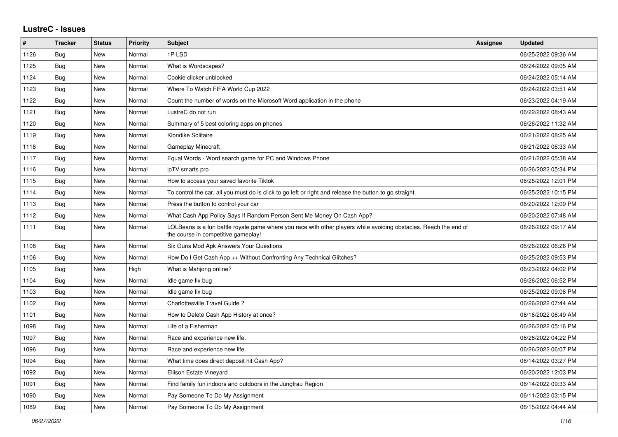## **LustreC - Issues**

| #    | <b>Tracker</b> | <b>Status</b> | <b>Priority</b> | <b>Subject</b>                                                                                                                                           | <b>Assignee</b> | <b>Updated</b>      |
|------|----------------|---------------|-----------------|----------------------------------------------------------------------------------------------------------------------------------------------------------|-----------------|---------------------|
| 1126 | <b>Bug</b>     | New           | Normal          | 1PLSD                                                                                                                                                    |                 | 06/25/2022 09:36 AM |
| 1125 | Bug            | New           | Normal          | What is Wordscapes?                                                                                                                                      |                 | 06/24/2022 09:05 AM |
| 1124 | <b>Bug</b>     | New           | Normal          | Cookie clicker unblocked                                                                                                                                 |                 | 06/24/2022 05:14 AM |
| 1123 | <b>Bug</b>     | New           | Normal          | Where To Watch FIFA World Cup 2022                                                                                                                       |                 | 06/24/2022 03:51 AM |
| 1122 | <b>Bug</b>     | New           | Normal          | Count the number of words on the Microsoft Word application in the phone                                                                                 |                 | 06/23/2022 04:19 AM |
| 1121 | <b>Bug</b>     | New           | Normal          | LustreC do not run                                                                                                                                       |                 | 06/22/2022 08:43 AM |
| 1120 | Bug            | New           | Normal          | Summary of 5 best coloring apps on phones                                                                                                                |                 | 06/26/2022 11:32 AM |
| 1119 | Bug            | New           | Normal          | Klondike Solitaire                                                                                                                                       |                 | 06/21/2022 08:25 AM |
| 1118 | Bug            | New           | Normal          | <b>Gameplay Minecraft</b>                                                                                                                                |                 | 06/21/2022 06:33 AM |
| 1117 | <b>Bug</b>     | New           | Normal          | Equal Words - Word search game for PC and Windows Phone                                                                                                  |                 | 06/21/2022 05:38 AM |
| 1116 | Bug            | New           | Normal          | ipTV smarts pro                                                                                                                                          |                 | 06/26/2022 05:34 PM |
| 1115 | <b>Bug</b>     | New           | Normal          | How to access your saved favorite Tiktok                                                                                                                 |                 | 06/26/2022 12:01 PM |
| 1114 | <b>Bug</b>     | New           | Normal          | To control the car, all you must do is click to go left or right and release the button to go straight.                                                  |                 | 06/25/2022 10:15 PM |
| 1113 | Bug            | New           | Normal          | Press the button to control your car                                                                                                                     |                 | 06/20/2022 12:09 PM |
| 1112 | <b>Bug</b>     | New           | Normal          | What Cash App Policy Says If Random Person Sent Me Money On Cash App?                                                                                    |                 | 06/20/2022 07:48 AM |
| 1111 | <b>Bug</b>     | <b>New</b>    | Normal          | LOLBeans is a fun battle royale game where you race with other players while avoiding obstacles. Reach the end of<br>the course in competitive gameplay! |                 | 06/26/2022 09:17 AM |
| 1108 | <b>Bug</b>     | New           | Normal          | Six Guns Mod Apk Answers Your Questions                                                                                                                  |                 | 06/26/2022 06:26 PM |
| 1106 | Bug            | New           | Normal          | How Do I Get Cash App ++ Without Confronting Any Technical Glitches?                                                                                     |                 | 06/25/2022 09:53 PM |
| 1105 | <b>Bug</b>     | New           | High            | What is Mahjong online?                                                                                                                                  |                 | 06/23/2022 04:02 PM |
| 1104 | Bug            | New           | Normal          | Idle game fix bug                                                                                                                                        |                 | 06/26/2022 06:52 PM |
| 1103 | <b>Bug</b>     | New           | Normal          | Idle game fix bug                                                                                                                                        |                 | 06/25/2022 09:08 PM |
| 1102 | Bug            | New           | Normal          | Charlottesville Travel Guide?                                                                                                                            |                 | 06/26/2022 07:44 AM |
| 1101 | Bug            | <b>New</b>    | Normal          | How to Delete Cash App History at once?                                                                                                                  |                 | 06/16/2022 06:49 AM |
| 1098 | <b>Bug</b>     | <b>New</b>    | Normal          | Life of a Fisherman                                                                                                                                      |                 | 06/26/2022 05:16 PM |
| 1097 | <b>Bug</b>     | New           | Normal          | Race and experience new life.                                                                                                                            |                 | 06/26/2022 04:22 PM |
| 1096 | <b>Bug</b>     | New           | Normal          | Race and experience new life.                                                                                                                            |                 | 06/26/2022 06:07 PM |
| 1094 | <b>Bug</b>     | New           | Normal          | What time does direct deposit hit Cash App?                                                                                                              |                 | 06/14/2022 03:27 PM |
| 1092 | <b>Bug</b>     | <b>New</b>    | Normal          | <b>Ellison Estate Vineyard</b>                                                                                                                           |                 | 06/20/2022 12:03 PM |
| 1091 | <b>Bug</b>     | New           | Normal          | Find family fun indoors and outdoors in the Jungfrau Region                                                                                              |                 | 06/14/2022 09:33 AM |
| 1090 | <b>Bug</b>     | New           | Normal          | Pay Someone To Do My Assignment                                                                                                                          |                 | 06/11/2022 03:15 PM |
| 1089 | Bug            | New           | Normal          | Pay Someone To Do My Assignment                                                                                                                          |                 | 06/15/2022 04:44 AM |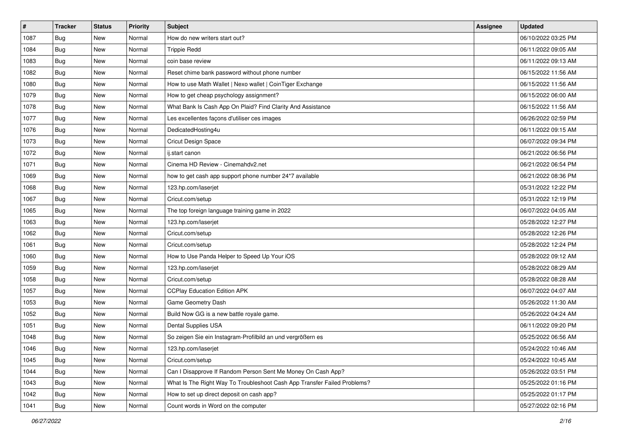| $\vert$ # | <b>Tracker</b> | <b>Status</b> | Priority | Subject                                                                  | <b>Assignee</b> | <b>Updated</b>      |
|-----------|----------------|---------------|----------|--------------------------------------------------------------------------|-----------------|---------------------|
| 1087      | <b>Bug</b>     | New           | Normal   | How do new writers start out?                                            |                 | 06/10/2022 03:25 PM |
| 1084      | Bug            | New           | Normal   | <b>Trippie Redd</b>                                                      |                 | 06/11/2022 09:05 AM |
| 1083      | Bug            | New           | Normal   | coin base review                                                         |                 | 06/11/2022 09:13 AM |
| 1082      | <b>Bug</b>     | New           | Normal   | Reset chime bank password without phone number                           |                 | 06/15/2022 11:56 AM |
| 1080      | <b>Bug</b>     | <b>New</b>    | Normal   | How to use Math Wallet   Nexo wallet   CoinTiger Exchange                |                 | 06/15/2022 11:56 AM |
| 1079      | <b>Bug</b>     | New           | Normal   | How to get cheap psychology assignment?                                  |                 | 06/15/2022 06:00 AM |
| 1078      | <b>Bug</b>     | New           | Normal   | What Bank Is Cash App On Plaid? Find Clarity And Assistance              |                 | 06/15/2022 11:56 AM |
| 1077      | <b>Bug</b>     | New           | Normal   | Les excellentes façons d'utiliser ces images                             |                 | 06/26/2022 02:59 PM |
| 1076      | <b>Bug</b>     | New           | Normal   | DedicatedHosting4u                                                       |                 | 06/11/2022 09:15 AM |
| 1073      | Bug            | New           | Normal   | Cricut Design Space                                                      |                 | 06/07/2022 09:34 PM |
| 1072      | <b>Bug</b>     | New           | Normal   | ij.start canon                                                           |                 | 06/21/2022 06:56 PM |
| 1071      | <b>Bug</b>     | New           | Normal   | Cinema HD Review - Cinemahdv2.net                                        |                 | 06/21/2022 06:54 PM |
| 1069      | Bug            | New           | Normal   | how to get cash app support phone number 24*7 available                  |                 | 06/21/2022 08:36 PM |
| 1068      | <b>Bug</b>     | New           | Normal   | 123.hp.com/laserjet                                                      |                 | 05/31/2022 12:22 PM |
| 1067      | <b>Bug</b>     | New           | Normal   | Cricut.com/setup                                                         |                 | 05/31/2022 12:19 PM |
| 1065      | <b>Bug</b>     | New           | Normal   | The top foreign language training game in 2022                           |                 | 06/07/2022 04:05 AM |
| 1063      | <b>Bug</b>     | New           | Normal   | 123.hp.com/laserjet                                                      |                 | 05/28/2022 12:27 PM |
| 1062      | <b>Bug</b>     | New           | Normal   | Cricut.com/setup                                                         |                 | 05/28/2022 12:26 PM |
| 1061      | <b>Bug</b>     | New           | Normal   | Cricut.com/setup                                                         |                 | 05/28/2022 12:24 PM |
| 1060      | <b>Bug</b>     | New           | Normal   | How to Use Panda Helper to Speed Up Your iOS                             |                 | 05/28/2022 09:12 AM |
| 1059      | <b>Bug</b>     | New           | Normal   | 123.hp.com/laserjet                                                      |                 | 05/28/2022 08:29 AM |
| 1058      | <b>Bug</b>     | New           | Normal   | Cricut.com/setup                                                         |                 | 05/28/2022 08:28 AM |
| 1057      | Bug            | <b>New</b>    | Normal   | <b>CCPlay Education Edition APK</b>                                      |                 | 06/07/2022 04:07 AM |
| 1053      | Bug            | New           | Normal   | Game Geometry Dash                                                       |                 | 05/26/2022 11:30 AM |
| 1052      | <b>Bug</b>     | New           | Normal   | Build Now GG is a new battle royale game.                                |                 | 05/26/2022 04:24 AM |
| 1051      | <b>Bug</b>     | New           | Normal   | Dental Supplies USA                                                      |                 | 06/11/2022 09:20 PM |
| 1048      | <b>Bug</b>     | New           | Normal   | So zeigen Sie ein Instagram-Profilbild an und vergrößern es              |                 | 05/25/2022 06:56 AM |
| 1046      | <b>Bug</b>     | New           | Normal   | 123.hp.com/laserjet                                                      |                 | 05/24/2022 10:46 AM |
| 1045      | <b>Bug</b>     | New           | Normal   | Cricut.com/setup                                                         |                 | 05/24/2022 10:45 AM |
| 1044      | <b>Bug</b>     | New           | Normal   | Can I Disapprove If Random Person Sent Me Money On Cash App?             |                 | 05/26/2022 03:51 PM |
| 1043      | Bug            | New           | Normal   | What Is The Right Way To Troubleshoot Cash App Transfer Failed Problems? |                 | 05/25/2022 01:16 PM |
| 1042      | <b>Bug</b>     | New           | Normal   | How to set up direct deposit on cash app?                                |                 | 05/25/2022 01:17 PM |
| 1041      | Bug            | New           | Normal   | Count words in Word on the computer                                      |                 | 05/27/2022 02:16 PM |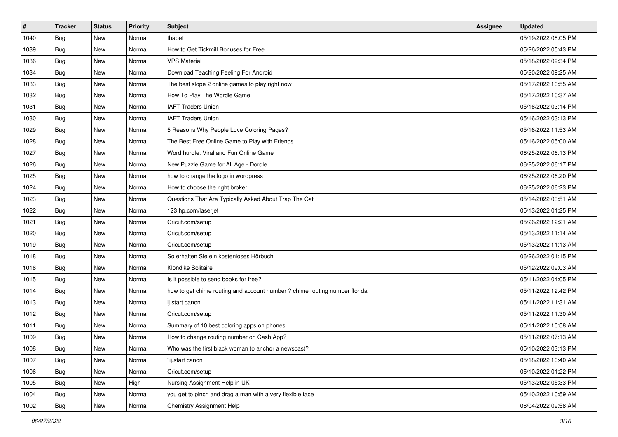| #    | <b>Tracker</b> | <b>Status</b> | Priority | Subject                                                                    | <b>Assignee</b> | <b>Updated</b>      |
|------|----------------|---------------|----------|----------------------------------------------------------------------------|-----------------|---------------------|
| 1040 | <b>Bug</b>     | New           | Normal   | thabet                                                                     |                 | 05/19/2022 08:05 PM |
| 1039 | Bug            | New           | Normal   | How to Get Tickmill Bonuses for Free                                       |                 | 05/26/2022 05:43 PM |
| 1036 | <b>Bug</b>     | New           | Normal   | <b>VPS Material</b>                                                        |                 | 05/18/2022 09:34 PM |
| 1034 | <b>Bug</b>     | New           | Normal   | Download Teaching Feeling For Android                                      |                 | 05/20/2022 09:25 AM |
| 1033 | <b>Bug</b>     | New           | Normal   | The best slope 2 online games to play right now                            |                 | 05/17/2022 10:55 AM |
| 1032 | <b>Bug</b>     | New           | Normal   | How To Play The Wordle Game                                                |                 | 05/17/2022 10:37 AM |
| 1031 | <b>Bug</b>     | New           | Normal   | <b>IAFT Traders Union</b>                                                  |                 | 05/16/2022 03:14 PM |
| 1030 | Bug            | New           | Normal   | <b>IAFT Traders Union</b>                                                  |                 | 05/16/2022 03:13 PM |
| 1029 | Bug            | New           | Normal   | 5 Reasons Why People Love Coloring Pages?                                  |                 | 05/16/2022 11:53 AM |
| 1028 | Bug            | New           | Normal   | The Best Free Online Game to Play with Friends                             |                 | 05/16/2022 05:00 AM |
| 1027 | Bug            | New           | Normal   | Word hurdle: Viral and Fun Online Game                                     |                 | 06/25/2022 06:13 PM |
| 1026 | <b>Bug</b>     | New           | Normal   | New Puzzle Game for All Age - Dordle                                       |                 | 06/25/2022 06:17 PM |
| 1025 | Bug            | <b>New</b>    | Normal   | how to change the logo in wordpress                                        |                 | 06/25/2022 06:20 PM |
| 1024 | <b>Bug</b>     | New           | Normal   | How to choose the right broker                                             |                 | 06/25/2022 06:23 PM |
| 1023 | Bug            | New           | Normal   | Questions That Are Typically Asked About Trap The Cat                      |                 | 05/14/2022 03:51 AM |
| 1022 | <b>Bug</b>     | New           | Normal   | 123.hp.com/laserjet                                                        |                 | 05/13/2022 01:25 PM |
| 1021 | <b>Bug</b>     | New           | Normal   | Cricut.com/setup                                                           |                 | 05/26/2022 12:21 AM |
| 1020 | Bug            | <b>New</b>    | Normal   | Cricut.com/setup                                                           |                 | 05/13/2022 11:14 AM |
| 1019 | Bug            | New           | Normal   | Cricut.com/setup                                                           |                 | 05/13/2022 11:13 AM |
| 1018 | Bug            | New           | Normal   | So erhalten Sie ein kostenloses Hörbuch                                    |                 | 06/26/2022 01:15 PM |
| 1016 | <b>Bug</b>     | <b>New</b>    | Normal   | Klondike Solitaire                                                         |                 | 05/12/2022 09:03 AM |
| 1015 | <b>Bug</b>     | New           | Normal   | Is it possible to send books for free?                                     |                 | 05/11/2022 04:05 PM |
| 1014 | Bug            | New           | Normal   | how to get chime routing and account number ? chime routing number florida |                 | 05/11/2022 12:42 PM |
| 1013 | Bug            | New           | Normal   | ij.start canon                                                             |                 | 05/11/2022 11:31 AM |
| 1012 | Bug            | New           | Normal   | Cricut.com/setup                                                           |                 | 05/11/2022 11:30 AM |
| 1011 | Bug            | <b>New</b>    | Normal   | Summary of 10 best coloring apps on phones                                 |                 | 05/11/2022 10:58 AM |
| 1009 | <b>Bug</b>     | New           | Normal   | How to change routing number on Cash App?                                  |                 | 05/11/2022 07:13 AM |
| 1008 | <b>Bug</b>     | New           | Normal   | Who was the first black woman to anchor a newscast?                        |                 | 05/10/2022 03:13 PM |
| 1007 | <b>Bug</b>     | New           | Normal   | "ij.start canon                                                            |                 | 05/18/2022 10:40 AM |
| 1006 | <b>Bug</b>     | New           | Normal   | Cricut.com/setup                                                           |                 | 05/10/2022 01:22 PM |
| 1005 | Bug            | New           | High     | Nursing Assignment Help in UK                                              |                 | 05/13/2022 05:33 PM |
| 1004 | <b>Bug</b>     | New           | Normal   | you get to pinch and drag a man with a very flexible face                  |                 | 05/10/2022 10:59 AM |
| 1002 | <b>Bug</b>     | New           | Normal   | Chemistry Assignment Help                                                  |                 | 06/04/2022 09:58 AM |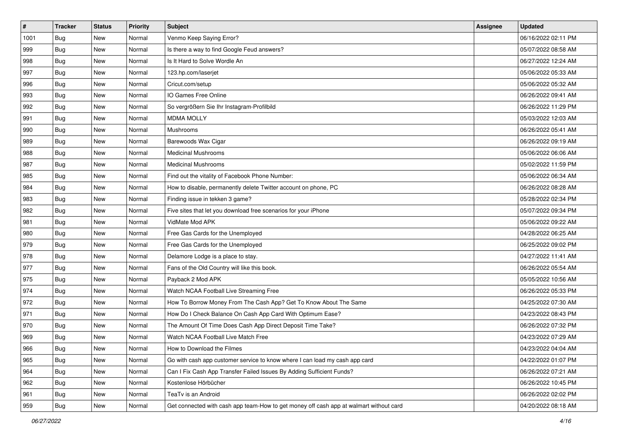| $\vert$ # | <b>Tracker</b> | <b>Status</b> | <b>Priority</b> | <b>Subject</b>                                                                         | <b>Assignee</b> | <b>Updated</b>      |
|-----------|----------------|---------------|-----------------|----------------------------------------------------------------------------------------|-----------------|---------------------|
| 1001      | <b>Bug</b>     | New           | Normal          | Venmo Keep Saying Error?                                                               |                 | 06/16/2022 02:11 PM |
| 999       | Bug            | New           | Normal          | Is there a way to find Google Feud answers?                                            |                 | 05/07/2022 08:58 AM |
| 998       | <b>Bug</b>     | New           | Normal          | Is It Hard to Solve Wordle An                                                          |                 | 06/27/2022 12:24 AM |
| 997       | <b>Bug</b>     | New           | Normal          | 123.hp.com/laserjet                                                                    |                 | 05/06/2022 05:33 AM |
| 996       | Bug            | <b>New</b>    | Normal          | Cricut.com/setup                                                                       |                 | 05/06/2022 05:32 AM |
| 993       | Bug            | New           | Normal          | IO Games Free Online                                                                   |                 | 06/26/2022 09:41 AM |
| 992       | <b>Bug</b>     | New           | Normal          | So vergrößern Sie Ihr Instagram-Profilbild                                             |                 | 06/26/2022 11:29 PM |
| 991       | <b>Bug</b>     | New           | Normal          | <b>MDMA MOLLY</b>                                                                      |                 | 05/03/2022 12:03 AM |
| 990       | <b>Bug</b>     | New           | Normal          | Mushrooms                                                                              |                 | 06/26/2022 05:41 AM |
| 989       | Bug            | <b>New</b>    | Normal          | Barewoods Wax Cigar                                                                    |                 | 06/26/2022 09:19 AM |
| 988       | Bug            | New           | Normal          | <b>Medicinal Mushrooms</b>                                                             |                 | 05/06/2022 06:06 AM |
| 987       | Bug            | New           | Normal          | <b>Medicinal Mushrooms</b>                                                             |                 | 05/02/2022 11:59 PM |
| 985       | Bug            | <b>New</b>    | Normal          | Find out the vitality of Facebook Phone Number:                                        |                 | 05/06/2022 06:34 AM |
| 984       | <b>Bug</b>     | New           | Normal          | How to disable, permanently delete Twitter account on phone, PC                        |                 | 06/26/2022 08:28 AM |
| 983       | <b>Bug</b>     | New           | Normal          | Finding issue in tekken 3 game?                                                        |                 | 05/28/2022 02:34 PM |
| 982       | Bug            | New           | Normal          | Five sites that let you download free scenarios for your iPhone                        |                 | 05/07/2022 09:34 PM |
| 981       | <b>Bug</b>     | New           | Normal          | VidMate Mod APK                                                                        |                 | 05/06/2022 09:22 AM |
| 980       | Bug            | <b>New</b>    | Normal          | Free Gas Cards for the Unemployed                                                      |                 | 04/28/2022 06:25 AM |
| 979       | <b>Bug</b>     | New           | Normal          | Free Gas Cards for the Unemployed                                                      |                 | 06/25/2022 09:02 PM |
| 978       | <b>Bug</b>     | New           | Normal          | Delamore Lodge is a place to stay.                                                     |                 | 04/27/2022 11:41 AM |
| 977       | <b>Bug</b>     | New           | Normal          | Fans of the Old Country will like this book.                                           |                 | 06/26/2022 05:54 AM |
| 975       | <b>Bug</b>     | New           | Normal          | Payback 2 Mod APK                                                                      |                 | 05/05/2022 10:56 AM |
| 974       | Bug            | <b>New</b>    | Normal          | Watch NCAA Football Live Streaming Free                                                |                 | 06/26/2022 05:33 PM |
| 972       | Bug            | New           | Normal          | How To Borrow Money From The Cash App? Get To Know About The Same                      |                 | 04/25/2022 07:30 AM |
| 971       | <b>Bug</b>     | New           | Normal          | How Do I Check Balance On Cash App Card With Optimum Ease?                             |                 | 04/23/2022 08:43 PM |
| 970       | <b>Bug</b>     | New           | Normal          | The Amount Of Time Does Cash App Direct Deposit Time Take?                             |                 | 06/26/2022 07:32 PM |
| 969       | <b>Bug</b>     | New           | Normal          | Watch NCAA Football Live Match Free                                                    |                 | 04/23/2022 07:29 AM |
| 966       | <b>Bug</b>     | New           | Normal          | How to Download the Filmes                                                             |                 | 04/23/2022 04:04 AM |
| 965       | Bug            | New           | Normal          | Go with cash app customer service to know where I can load my cash app card            |                 | 04/22/2022 01:07 PM |
| 964       | Bug            | New           | Normal          | Can I Fix Cash App Transfer Failed Issues By Adding Sufficient Funds?                  |                 | 06/26/2022 07:21 AM |
| 962       | Bug            | New           | Normal          | Kostenlose Hörbücher                                                                   |                 | 06/26/2022 10:45 PM |
| 961       | <b>Bug</b>     | New           | Normal          | TeaTv is an Android                                                                    |                 | 06/26/2022 02:02 PM |
| 959       | <b>Bug</b>     | New           | Normal          | Get connected with cash app team-How to get money off cash app at walmart without card |                 | 04/20/2022 08:18 AM |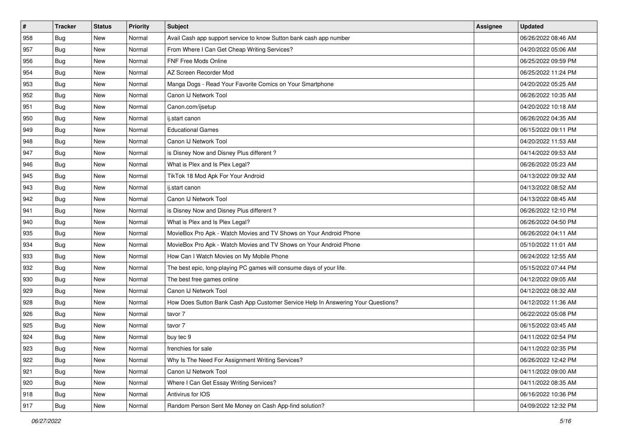| $\vert$ # | <b>Tracker</b> | <b>Status</b> | Priority | <b>Subject</b>                                                                   | Assignee | <b>Updated</b>      |
|-----------|----------------|---------------|----------|----------------------------------------------------------------------------------|----------|---------------------|
| 958       | <b>Bug</b>     | New           | Normal   | Avail Cash app support service to know Sutton bank cash app number               |          | 06/26/2022 08:46 AM |
| 957       | <b>Bug</b>     | New           | Normal   | From Where I Can Get Cheap Writing Services?                                     |          | 04/20/2022 05:06 AM |
| 956       | <b>Bug</b>     | New           | Normal   | FNF Free Mods Online                                                             |          | 06/25/2022 09:59 PM |
| 954       | <b>Bug</b>     | New           | Normal   | AZ Screen Recorder Mod                                                           |          | 06/25/2022 11:24 PM |
| 953       | <b>Bug</b>     | <b>New</b>    | Normal   | Manga Dogs - Read Your Favorite Comics on Your Smartphone                        |          | 04/20/2022 05:25 AM |
| 952       | Bug            | New           | Normal   | Canon IJ Network Tool                                                            |          | 06/26/2022 10:35 AM |
| 951       | <b>Bug</b>     | New           | Normal   | Canon.com/ijsetup                                                                |          | 04/20/2022 10:18 AM |
| 950       | <b>Bug</b>     | New           | Normal   | ij.start canon                                                                   |          | 06/26/2022 04:35 AM |
| 949       | <b>Bug</b>     | New           | Normal   | <b>Educational Games</b>                                                         |          | 06/15/2022 09:11 PM |
| 948       | Bug            | <b>New</b>    | Normal   | Canon IJ Network Tool                                                            |          | 04/20/2022 11:53 AM |
| 947       | Bug            | New           | Normal   | is Disney Now and Disney Plus different?                                         |          | 04/14/2022 09:53 AM |
| 946       | Bug            | New           | Normal   | What is Plex and Is Plex Legal?                                                  |          | 06/26/2022 05:23 AM |
| 945       | Bug            | New           | Normal   | TikTok 18 Mod Apk For Your Android                                               |          | 04/13/2022 09:32 AM |
| 943       | <b>Bug</b>     | New           | Normal   | ij.start canon                                                                   |          | 04/13/2022 08:52 AM |
| 942       | <b>Bug</b>     | New           | Normal   | Canon IJ Network Tool                                                            |          | 04/13/2022 08:45 AM |
| 941       | Bug            | New           | Normal   | is Disney Now and Disney Plus different?                                         |          | 06/26/2022 12:10 PM |
| 940       | <b>Bug</b>     | New           | Normal   | What is Plex and Is Plex Legal?                                                  |          | 06/26/2022 04:50 PM |
| 935       | <b>Bug</b>     | <b>New</b>    | Normal   | MovieBox Pro Apk - Watch Movies and TV Shows on Your Android Phone               |          | 06/26/2022 04:11 AM |
| 934       | <b>Bug</b>     | New           | Normal   | MovieBox Pro Apk - Watch Movies and TV Shows on Your Android Phone               |          | 05/10/2022 11:01 AM |
| 933       | <b>Bug</b>     | New           | Normal   | How Can I Watch Movies on My Mobile Phone                                        |          | 06/24/2022 12:55 AM |
| 932       | <b>Bug</b>     | New           | Normal   | The best epic, long-playing PC games will consume days of your life.             |          | 05/15/2022 07:44 PM |
| 930       | <b>Bug</b>     | New           | Normal   | The best free games online                                                       |          | 04/12/2022 09:05 AM |
| 929       | Bug            | <b>New</b>    | Normal   | Canon IJ Network Tool                                                            |          | 04/12/2022 08:32 AM |
| 928       | <b>Bug</b>     | New           | Normal   | How Does Sutton Bank Cash App Customer Service Help In Answering Your Questions? |          | 04/12/2022 11:36 AM |
| 926       | <b>Bug</b>     | New           | Normal   | tavor 7                                                                          |          | 06/22/2022 05:08 PM |
| 925       | Bug            | New           | Normal   | tavor 7                                                                          |          | 06/15/2022 03:45 AM |
| 924       | <b>Bug</b>     | New           | Normal   | buy tec 9                                                                        |          | 04/11/2022 02:54 PM |
| 923       | <b>Bug</b>     | New           | Normal   | frenchies for sale                                                               |          | 04/11/2022 02:35 PM |
| 922       | Bug            | New           | Normal   | Why Is The Need For Assignment Writing Services?                                 |          | 06/26/2022 12:42 PM |
| 921       | <b>Bug</b>     | New           | Normal   | Canon IJ Network Tool                                                            |          | 04/11/2022 09:00 AM |
| 920       | <b>Bug</b>     | New           | Normal   | Where I Can Get Essay Writing Services?                                          |          | 04/11/2022 08:35 AM |
| 918       | <b>Bug</b>     | New           | Normal   | Antivirus for IOS                                                                |          | 06/16/2022 10:36 PM |
| 917       | <b>Bug</b>     | New           | Normal   | Random Person Sent Me Money on Cash App-find solution?                           |          | 04/09/2022 12:32 PM |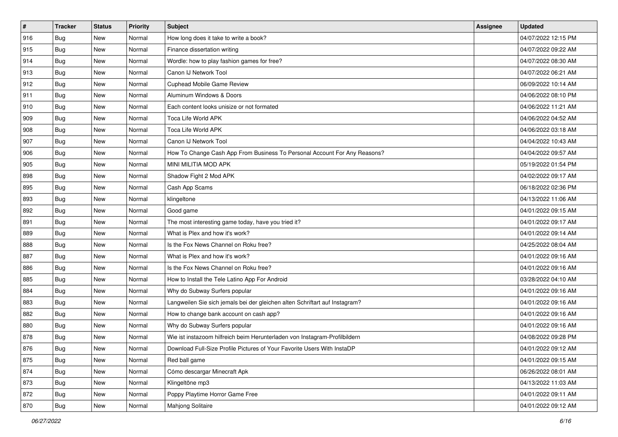| $\sharp$ | <b>Tracker</b> | <b>Status</b> | <b>Priority</b> | <b>Subject</b>                                                              | <b>Assignee</b> | <b>Updated</b>      |
|----------|----------------|---------------|-----------------|-----------------------------------------------------------------------------|-----------------|---------------------|
| 916      | <b>Bug</b>     | New           | Normal          | How long does it take to write a book?                                      |                 | 04/07/2022 12:15 PM |
| 915      | <b>Bug</b>     | New           | Normal          | Finance dissertation writing                                                |                 | 04/07/2022 09:22 AM |
| 914      | Bug            | New           | Normal          | Wordle: how to play fashion games for free?                                 |                 | 04/07/2022 08:30 AM |
| 913      | <b>Bug</b>     | <b>New</b>    | Normal          | Canon IJ Network Tool                                                       |                 | 04/07/2022 06:21 AM |
| 912      | Bug            | New           | Normal          | Cuphead Mobile Game Review                                                  |                 | 06/09/2022 10:14 AM |
| 911      | <b>Bug</b>     | New           | Normal          | Aluminum Windows & Doors                                                    |                 | 04/06/2022 08:10 PM |
| 910      | Bug            | New           | Normal          | Each content looks unisize or not formated                                  |                 | 04/06/2022 11:21 AM |
| 909      | <b>Bug</b>     | New           | Normal          | Toca Life World APK                                                         |                 | 04/06/2022 04:52 AM |
| 908      | Bug            | New           | Normal          | Toca Life World APK                                                         |                 | 04/06/2022 03:18 AM |
| 907      | Bug            | New           | Normal          | Canon IJ Network Tool                                                       |                 | 04/04/2022 10:43 AM |
| 906      | <b>Bug</b>     | New           | Normal          | How To Change Cash App From Business To Personal Account For Any Reasons?   |                 | 04/04/2022 09:57 AM |
| 905      | <b>Bug</b>     | New           | Normal          | MINI MILITIA MOD APK                                                        |                 | 05/19/2022 01:54 PM |
| 898      | Bug            | New           | Normal          | Shadow Fight 2 Mod APK                                                      |                 | 04/02/2022 09:17 AM |
| 895      | <b>Bug</b>     | New           | Normal          | Cash App Scams                                                              |                 | 06/18/2022 02:36 PM |
| 893      | <b>Bug</b>     | <b>New</b>    | Normal          | klingeltone                                                                 |                 | 04/13/2022 11:06 AM |
| 892      | Bug            | New           | Normal          | Good game                                                                   |                 | 04/01/2022 09:15 AM |
| 891      | <b>Bug</b>     | <b>New</b>    | Normal          | The most interesting game today, have you tried it?                         |                 | 04/01/2022 09:17 AM |
| 889      | Bug            | New           | Normal          | What is Plex and how it's work?                                             |                 | 04/01/2022 09:14 AM |
| 888      | Bug            | New           | Normal          | Is the Fox News Channel on Roku free?                                       |                 | 04/25/2022 08:04 AM |
| 887      | Bug            | New           | Normal          | What is Plex and how it's work?                                             |                 | 04/01/2022 09:16 AM |
| 886      | <b>Bug</b>     | New           | Normal          | Is the Fox News Channel on Roku free?                                       |                 | 04/01/2022 09:16 AM |
| 885      | Bug            | New           | Normal          | How to Install the Tele Latino App For Android                              |                 | 03/28/2022 04:10 AM |
| 884      | Bug            | New           | Normal          | Why do Subway Surfers popular                                               |                 | 04/01/2022 09:16 AM |
| 883      | <b>Bug</b>     | New           | Normal          | Langweilen Sie sich jemals bei der gleichen alten Schriftart auf Instagram? |                 | 04/01/2022 09:16 AM |
| 882      | Bug            | New           | Normal          | How to change bank account on cash app?                                     |                 | 04/01/2022 09:16 AM |
| 880      | Bug            | New           | Normal          | Why do Subway Surfers popular                                               |                 | 04/01/2022 09:16 AM |
| 878      | <b>Bug</b>     | New           | Normal          | Wie ist instazoom hilfreich beim Herunterladen von Instagram-Profilbildern  |                 | 04/08/2022 09:28 PM |
| 876      | <b>Bug</b>     | New           | Normal          | Download Full-Size Profile Pictures of Your Favorite Users With InstaDP     |                 | 04/01/2022 09:12 AM |
| 875      | <b>Bug</b>     | New           | Normal          | Red ball game                                                               |                 | 04/01/2022 09:15 AM |
| 874      | <b>Bug</b>     | New           | Normal          | Cómo descargar Minecraft Apk                                                |                 | 06/26/2022 08:01 AM |
| 873      | Bug            | New           | Normal          | Klingeltöne mp3                                                             |                 | 04/13/2022 11:03 AM |
| 872      | <b>Bug</b>     | New           | Normal          | Poppy Playtime Horror Game Free                                             |                 | 04/01/2022 09:11 AM |
| 870      | <b>Bug</b>     | New           | Normal          | <b>Mahjong Solitaire</b>                                                    |                 | 04/01/2022 09:12 AM |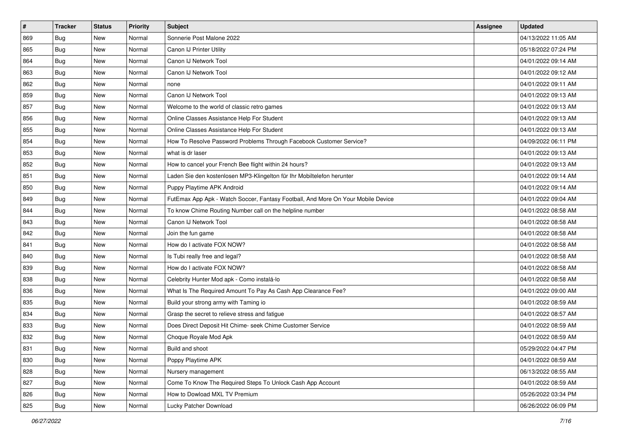| $\sharp$ | <b>Tracker</b> | <b>Status</b> | Priority | <b>Subject</b>                                                                   | <b>Assignee</b> | <b>Updated</b>      |
|----------|----------------|---------------|----------|----------------------------------------------------------------------------------|-----------------|---------------------|
| 869      | <b>Bug</b>     | New           | Normal   | Sonnerie Post Malone 2022                                                        |                 | 04/13/2022 11:05 AM |
| 865      | Bug            | New           | Normal   | Canon IJ Printer Utility                                                         |                 | 05/18/2022 07:24 PM |
| 864      | Bug            | New           | Normal   | Canon IJ Network Tool                                                            |                 | 04/01/2022 09:14 AM |
| 863      | <b>Bug</b>     | <b>New</b>    | Normal   | Canon IJ Network Tool                                                            |                 | 04/01/2022 09:12 AM |
| 862      | Bug            | New           | Normal   | none                                                                             |                 | 04/01/2022 09:11 AM |
| 859      | <b>Bug</b>     | <b>New</b>    | Normal   | Canon IJ Network Tool                                                            |                 | 04/01/2022 09:13 AM |
| 857      | Bug            | New           | Normal   | Welcome to the world of classic retro games                                      |                 | 04/01/2022 09:13 AM |
| 856      | <b>Bug</b>     | New           | Normal   | Online Classes Assistance Help For Student                                       |                 | 04/01/2022 09:13 AM |
| 855      | Bug            | New           | Normal   | Online Classes Assistance Help For Student                                       |                 | 04/01/2022 09:13 AM |
| 854      | Bug            | New           | Normal   | How To Resolve Password Problems Through Facebook Customer Service?              |                 | 04/09/2022 06:11 PM |
| 853      | <b>Bug</b>     | New           | Normal   | what is dr laser                                                                 |                 | 04/01/2022 09:13 AM |
| 852      | Bug            | New           | Normal   | How to cancel your French Bee flight within 24 hours?                            |                 | 04/01/2022 09:13 AM |
| 851      | Bug            | New           | Normal   | Laden Sie den kostenlosen MP3-Klingelton für Ihr Mobiltelefon herunter           |                 | 04/01/2022 09:14 AM |
| 850      | <b>Bug</b>     | New           | Normal   | Puppy Playtime APK Android                                                       |                 | 04/01/2022 09:14 AM |
| 849      | <b>Bug</b>     | <b>New</b>    | Normal   | FutEmax App Apk - Watch Soccer, Fantasy Football, And More On Your Mobile Device |                 | 04/01/2022 09:04 AM |
| 844      | Bug            | New           | Normal   | To know Chime Routing Number call on the helpline number                         |                 | 04/01/2022 08:58 AM |
| 843      | <b>Bug</b>     | <b>New</b>    | Normal   | Canon IJ Network Tool                                                            |                 | 04/01/2022 08:58 AM |
| 842      | Bug            | New           | Normal   | Join the fun game                                                                |                 | 04/01/2022 08:58 AM |
| 841      | <b>Bug</b>     | New           | Normal   | How do I activate FOX NOW?                                                       |                 | 04/01/2022 08:58 AM |
| 840      | Bug            | New           | Normal   | Is Tubi really free and legal?                                                   |                 | 04/01/2022 08:58 AM |
| 839      | <b>Bug</b>     | New           | Normal   | How do I activate FOX NOW?                                                       |                 | 04/01/2022 08:58 AM |
| 838      | Bug            | New           | Normal   | Celebrity Hunter Mod apk - Como instalá-lo                                       |                 | 04/01/2022 08:58 AM |
| 836      | Bug            | New           | Normal   | What Is The Required Amount To Pay As Cash App Clearance Fee?                    |                 | 04/01/2022 09:00 AM |
| 835      | <b>Bug</b>     | New           | Normal   | Build your strong army with Taming io                                            |                 | 04/01/2022 08:59 AM |
| 834      | Bug            | New           | Normal   | Grasp the secret to relieve stress and fatigue                                   |                 | 04/01/2022 08:57 AM |
| 833      | Bug            | New           | Normal   | Does Direct Deposit Hit Chime- seek Chime Customer Service                       |                 | 04/01/2022 08:59 AM |
| 832      | <b>Bug</b>     | New           | Normal   | Choque Royale Mod Apk                                                            |                 | 04/01/2022 08:59 AM |
| 831      | I Bug          | New           | Normal   | Build and shoot                                                                  |                 | 05/29/2022 04:47 PM |
| 830      | <b>Bug</b>     | New           | Normal   | Poppy Playtime APK                                                               |                 | 04/01/2022 08:59 AM |
| 828      | <b>Bug</b>     | New           | Normal   | Nursery management                                                               |                 | 06/13/2022 08:55 AM |
| 827      | Bug            | New           | Normal   | Come To Know The Required Steps To Unlock Cash App Account                       |                 | 04/01/2022 08:59 AM |
| 826      | <b>Bug</b>     | New           | Normal   | How to Dowload MXL TV Premium                                                    |                 | 05/26/2022 03:34 PM |
| 825      | <b>Bug</b>     | New           | Normal   | Lucky Patcher Download                                                           |                 | 06/26/2022 06:09 PM |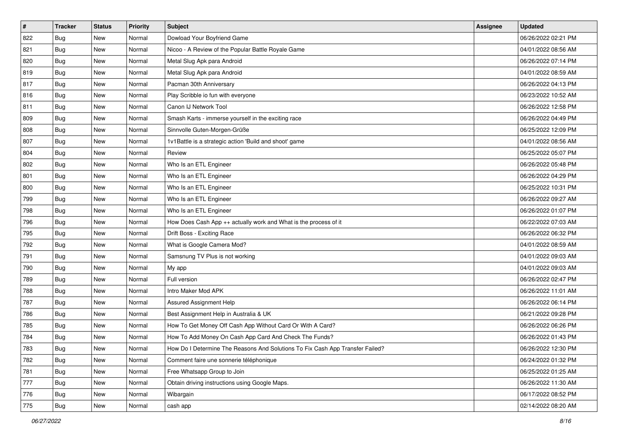| $\sharp$ | <b>Tracker</b> | <b>Status</b> | <b>Priority</b> | Subject                                                                       | <b>Assignee</b> | <b>Updated</b>      |
|----------|----------------|---------------|-----------------|-------------------------------------------------------------------------------|-----------------|---------------------|
| 822      | <b>Bug</b>     | New           | Normal          | Dowload Your Boyfriend Game                                                   |                 | 06/26/2022 02:21 PM |
| 821      | <b>Bug</b>     | New           | Normal          | Nicoo - A Review of the Popular Battle Royale Game                            |                 | 04/01/2022 08:56 AM |
| 820      | Bug            | New           | Normal          | Metal Slug Apk para Android                                                   |                 | 06/26/2022 07:14 PM |
| 819      | <b>Bug</b>     | <b>New</b>    | Normal          | Metal Slug Apk para Android                                                   |                 | 04/01/2022 08:59 AM |
| 817      | <b>Bug</b>     | New           | Normal          | Pacman 30th Anniversary                                                       |                 | 06/26/2022 04:13 PM |
| 816      | <b>Bug</b>     | New           | Normal          | Play Scribble io fun with everyone                                            |                 | 06/23/2022 10:52 AM |
| 811      | Bug            | New           | Normal          | Canon IJ Network Tool                                                         |                 | 06/26/2022 12:58 PM |
| 809      | <b>Bug</b>     | New           | Normal          | Smash Karts - immerse yourself in the exciting race                           |                 | 06/26/2022 04:49 PM |
| 808      | <b>Bug</b>     | New           | Normal          | Sinnvolle Guten-Morgen-Grüße                                                  |                 | 06/25/2022 12:09 PM |
| 807      | Bug            | New           | Normal          | 1v1Battle is a strategic action 'Build and shoot' game                        |                 | 04/01/2022 08:56 AM |
| 804      | <b>Bug</b>     | New           | Normal          | Review                                                                        |                 | 06/25/2022 05:07 PM |
| 802      | Bug            | New           | Normal          | Who Is an ETL Engineer                                                        |                 | 06/26/2022 05:48 PM |
| 801      | Bug            | New           | Normal          | Who Is an ETL Engineer                                                        |                 | 06/26/2022 04:29 PM |
| 800      | <b>Bug</b>     | New           | Normal          | Who Is an ETL Engineer                                                        |                 | 06/25/2022 10:31 PM |
| 799      | <b>Bug</b>     | New           | Normal          | Who Is an ETL Engineer                                                        |                 | 06/26/2022 09:27 AM |
| 798      | Bug            | New           | Normal          | Who Is an ETL Engineer                                                        |                 | 06/26/2022 01:07 PM |
| 796      | <b>Bug</b>     | New           | Normal          | How Does Cash App ++ actually work and What is the process of it              |                 | 06/22/2022 07:03 AM |
| 795      | Bug            | New           | Normal          | Drift Boss - Exciting Race                                                    |                 | 06/26/2022 06:32 PM |
| 792      | <b>Bug</b>     | New           | Normal          | What is Google Camera Mod?                                                    |                 | 04/01/2022 08:59 AM |
| 791      | <b>Bug</b>     | New           | Normal          | Samsnung TV Plus is not working                                               |                 | 04/01/2022 09:03 AM |
| 790      | <b>Bug</b>     | New           | Normal          | My app                                                                        |                 | 04/01/2022 09:03 AM |
| 789      | <b>Bug</b>     | New           | Normal          | Full version                                                                  |                 | 06/26/2022 02:47 PM |
| 788      | Bug            | New           | Normal          | Intro Maker Mod APK                                                           |                 | 06/26/2022 11:01 AM |
| 787      | <b>Bug</b>     | New           | Normal          | Assured Assignment Help                                                       |                 | 06/26/2022 06:14 PM |
| 786      | Bug            | New           | Normal          | Best Assignment Help in Australia & UK                                        |                 | 06/21/2022 09:28 PM |
| 785      | <b>Bug</b>     | New           | Normal          | How To Get Money Off Cash App Without Card Or With A Card?                    |                 | 06/26/2022 06:26 PM |
| 784      | <b>Bug</b>     | New           | Normal          | How To Add Money On Cash App Card And Check The Funds?                        |                 | 06/26/2022 01:43 PM |
| 783      | Bug            | New           | Normal          | How Do I Determine The Reasons And Solutions To Fix Cash App Transfer Failed? |                 | 06/26/2022 12:30 PM |
| 782      | <b>Bug</b>     | New           | Normal          | Comment faire une sonnerie téléphonique                                       |                 | 06/24/2022 01:32 PM |
| 781      | Bug            | New           | Normal          | Free Whatsapp Group to Join                                                   |                 | 06/25/2022 01:25 AM |
| 777      | Bug            | New           | Normal          | Obtain driving instructions using Google Maps.                                |                 | 06/26/2022 11:30 AM |
| 776      | <b>Bug</b>     | New           | Normal          | Wibargain                                                                     |                 | 06/17/2022 08:52 PM |
| 775      | <b>Bug</b>     | New           | Normal          | cash app                                                                      |                 | 02/14/2022 08:20 AM |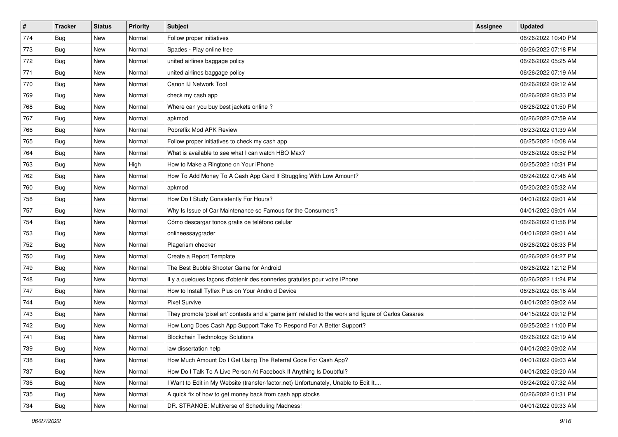| $\vert$ # | <b>Tracker</b> | <b>Status</b> | <b>Priority</b> | Subject                                                                                             | <b>Assignee</b> | <b>Updated</b>      |
|-----------|----------------|---------------|-----------------|-----------------------------------------------------------------------------------------------------|-----------------|---------------------|
| 774       | <b>Bug</b>     | New           | Normal          | Follow proper initiatives                                                                           |                 | 06/26/2022 10:40 PM |
| 773       | <b>Bug</b>     | New           | Normal          | Spades - Play online free                                                                           |                 | 06/26/2022 07:18 PM |
| 772       | <b>Bug</b>     | New           | Normal          | united airlines baggage policy                                                                      |                 | 06/26/2022 05:25 AM |
| 771       | <b>Bug</b>     | New           | Normal          | united airlines baggage policy                                                                      |                 | 06/26/2022 07:19 AM |
| 770       | Bug            | <b>New</b>    | Normal          | Canon IJ Network Tool                                                                               |                 | 06/26/2022 09:12 AM |
| 769       | <b>Bug</b>     | New           | Normal          | check my cash app                                                                                   |                 | 06/26/2022 08:33 PM |
| 768       | <b>Bug</b>     | New           | Normal          | Where can you buy best jackets online?                                                              |                 | 06/26/2022 01:50 PM |
| 767       | <b>Bug</b>     | New           | Normal          | apkmod                                                                                              |                 | 06/26/2022 07:59 AM |
| 766       | <b>Bug</b>     | New           | Normal          | Pobreflix Mod APK Review                                                                            |                 | 06/23/2022 01:39 AM |
| 765       | Bug            | <b>New</b>    | Normal          | Follow proper initiatives to check my cash app                                                      |                 | 06/25/2022 10:08 AM |
| 764       | <b>Bug</b>     | New           | Normal          | What is available to see what I can watch HBO Max?                                                  |                 | 06/26/2022 08:52 PM |
| 763       | Bug            | New           | High            | How to Make a Ringtone on Your iPhone                                                               |                 | 06/25/2022 10:31 PM |
| 762       | Bug            | New           | Normal          | How To Add Money To A Cash App Card If Struggling With Low Amount?                                  |                 | 06/24/2022 07:48 AM |
| 760       | <b>Bug</b>     | New           | Normal          | apkmod                                                                                              |                 | 05/20/2022 05:32 AM |
| 758       | <b>Bug</b>     | New           | Normal          | How Do I Study Consistently For Hours?                                                              |                 | 04/01/2022 09:01 AM |
| 757       | Bug            | New           | Normal          | Why Is Issue of Car Maintenance so Famous for the Consumers?                                        |                 | 04/01/2022 09:01 AM |
| 754       | <b>Bug</b>     | New           | Normal          | Cómo descargar tonos gratis de teléfono celular                                                     |                 | 06/26/2022 01:56 PM |
| 753       | <b>Bug</b>     | New           | Normal          | onlineessaygrader                                                                                   |                 | 04/01/2022 09:01 AM |
| 752       | <b>Bug</b>     | New           | Normal          | Plagerism checker                                                                                   |                 | 06/26/2022 06:33 PM |
| 750       | <b>Bug</b>     | New           | Normal          | Create a Report Template                                                                            |                 | 06/26/2022 04:27 PM |
| 749       | <b>Bug</b>     | New           | Normal          | The Best Bubble Shooter Game for Android                                                            |                 | 06/26/2022 12:12 PM |
| 748       | <b>Bug</b>     | New           | Normal          | Il y a quelques façons d'obtenir des sonneries gratuites pour votre iPhone                          |                 | 06/26/2022 11:24 PM |
| 747       | Bug            | <b>New</b>    | Normal          | How to Install Tyflex Plus on Your Android Device                                                   |                 | 06/26/2022 08:16 AM |
| 744       | <b>Bug</b>     | New           | Normal          | <b>Pixel Survive</b>                                                                                |                 | 04/01/2022 09:02 AM |
| 743       | <b>Bug</b>     | New           | Normal          | They promote 'pixel art' contests and a 'game jam' related to the work and figure of Carlos Casares |                 | 04/15/2022 09:12 PM |
| 742       | Bug            | New           | Normal          | How Long Does Cash App Support Take To Respond For A Better Support?                                |                 | 06/25/2022 11:00 PM |
| 741       | <b>Bug</b>     | New           | Normal          | <b>Blockchain Technology Solutions</b>                                                              |                 | 06/26/2022 02:19 AM |
| 739       | Bug            | New           | Normal          | law dissertation help                                                                               |                 | 04/01/2022 09:02 AM |
| 738       | Bug            | New           | Normal          | How Much Amount Do I Get Using The Referral Code For Cash App?                                      |                 | 04/01/2022 09:03 AM |
| 737       | Bug            | New           | Normal          | How Do I Talk To A Live Person At Facebook If Anything Is Doubtful?                                 |                 | 04/01/2022 09:20 AM |
| 736       | Bug            | New           | Normal          | Want to Edit in My Website (transfer-factor.net) Unfortunately, Unable to Edit It                   |                 | 06/24/2022 07:32 AM |
| 735       | Bug            | New           | Normal          | A quick fix of how to get money back from cash app stocks                                           |                 | 06/26/2022 01:31 PM |
| 734       | <b>Bug</b>     | New           | Normal          | DR. STRANGE: Multiverse of Scheduling Madness!                                                      |                 | 04/01/2022 09:33 AM |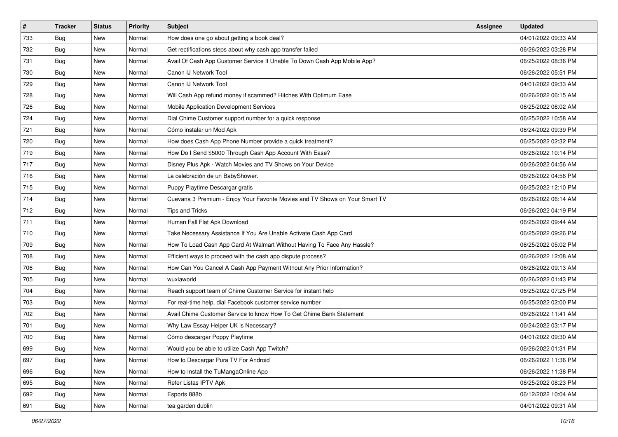| $\vert$ # | <b>Tracker</b> | <b>Status</b> | <b>Priority</b> | Subject                                                                      | <b>Assignee</b> | <b>Updated</b>      |
|-----------|----------------|---------------|-----------------|------------------------------------------------------------------------------|-----------------|---------------------|
| 733       | Bug            | New           | Normal          | How does one go about getting a book deal?                                   |                 | 04/01/2022 09:33 AM |
| 732       | <b>Bug</b>     | New           | Normal          | Get rectifications steps about why cash app transfer failed                  |                 | 06/26/2022 03:28 PM |
| 731       | <b>Bug</b>     | New           | Normal          | Avail Of Cash App Customer Service If Unable To Down Cash App Mobile App?    |                 | 06/25/2022 08:36 PM |
| 730       | <b>Bug</b>     | <b>New</b>    | Normal          | Canon IJ Network Tool                                                        |                 | 06/26/2022 05:51 PM |
| 729       | <b>Bug</b>     | New           | Normal          | Canon IJ Network Tool                                                        |                 | 04/01/2022 09:33 AM |
| 728       | <b>Bug</b>     | New           | Normal          | Will Cash App refund money if scammed? Hitches With Optimum Ease             |                 | 06/26/2022 06:15 AM |
| 726       | Bug            | New           | Normal          | Mobile Application Development Services                                      |                 | 06/25/2022 06:02 AM |
| 724       | <b>Bug</b>     | New           | Normal          | Dial Chime Customer support number for a quick response                      |                 | 06/25/2022 10:58 AM |
| 721       | <b>Bug</b>     | New           | Normal          | Cómo instalar un Mod Apk                                                     |                 | 06/24/2022 09:39 PM |
| 720       | Bug            | New           | Normal          | How does Cash App Phone Number provide a quick treatment?                    |                 | 06/25/2022 02:32 PM |
| 719       | <b>Bug</b>     | New           | Normal          | How Do I Send \$5000 Through Cash App Account With Ease?                     |                 | 06/26/2022 10:14 PM |
| 717       | Bug            | New           | Normal          | Disney Plus Apk - Watch Movies and TV Shows on Your Device                   |                 | 06/26/2022 04:56 AM |
| 716       | Bug            | New           | Normal          | La celebración de un BabyShower.                                             |                 | 06/26/2022 04:56 PM |
| 715       | <b>Bug</b>     | New           | Normal          | Puppy Playtime Descargar gratis                                              |                 | 06/25/2022 12:10 PM |
| 714       | <b>Bug</b>     | <b>New</b>    | Normal          | Cuevana 3 Premium - Enjoy Your Favorite Movies and TV Shows on Your Smart TV |                 | 06/26/2022 06:14 AM |
| 712       | Bug            | New           | Normal          | Tips and Tricks                                                              |                 | 06/26/2022 04:19 PM |
| 711       | <b>Bug</b>     | New           | Normal          | Human Fall Flat Apk Download                                                 |                 | 06/25/2022 09:44 AM |
| 710       | Bug            | New           | Normal          | Take Necessary Assistance If You Are Unable Activate Cash App Card           |                 | 06/25/2022 09:26 PM |
| 709       | Bug            | New           | Normal          | How To Load Cash App Card At Walmart Without Having To Face Any Hassle?      |                 | 06/25/2022 05:02 PM |
| 708       | <b>Bug</b>     | New           | Normal          | Efficient ways to proceed with the cash app dispute process?                 |                 | 06/26/2022 12:08 AM |
| 706       | Bug            | New           | Normal          | How Can You Cancel A Cash App Payment Without Any Prior Information?         |                 | 06/26/2022 09:13 AM |
| 705       | <b>Bug</b>     | New           | Normal          | wuxiaworld                                                                   |                 | 06/26/2022 01:43 PM |
| 704       | Bug            | New           | Normal          | Reach support team of Chime Customer Service for instant help                |                 | 06/25/2022 07:25 PM |
| 703       | <b>Bug</b>     | New           | Normal          | For real-time help, dial Facebook customer service number                    |                 | 06/25/2022 02:00 PM |
| 702       | Bug            | New           | Normal          | Avail Chime Customer Service to know How To Get Chime Bank Statement         |                 | 06/26/2022 11:41 AM |
| 701       | <b>Bug</b>     | New           | Normal          | Why Law Essay Helper UK is Necessary?                                        |                 | 06/24/2022 03:17 PM |
| 700       | <b>Bug</b>     | New           | Normal          | Cómo descargar Poppy Playtime                                                |                 | 04/01/2022 09:30 AM |
| 699       | Bug            | New           | Normal          | Would you be able to utilize Cash App Twitch?                                |                 | 06/26/2022 01:31 PM |
| 697       | <b>Bug</b>     | New           | Normal          | How to Descargar Pura TV For Android                                         |                 | 06/26/2022 11:36 PM |
| 696       | Bug            | New           | Normal          | How to Install the TuMangaOnline App                                         |                 | 06/26/2022 11:38 PM |
| 695       | <b>Bug</b>     | New           | Normal          | Refer Listas IPTV Apk                                                        |                 | 06/25/2022 08:23 PM |
| 692       | <b>Bug</b>     | New           | Normal          | Esports 888b                                                                 |                 | 06/12/2022 10:04 AM |
| 691       | <b>Bug</b>     | New           | Normal          | tea garden dublin                                                            |                 | 04/01/2022 09:31 AM |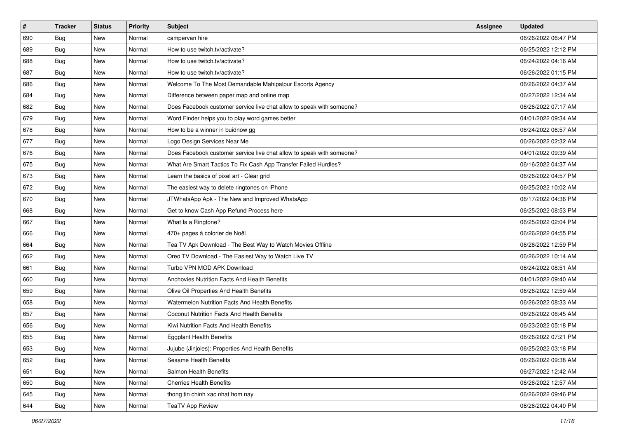| $\sharp$ | <b>Tracker</b> | <b>Status</b> | Priority | <b>Subject</b>                                                        | <b>Assignee</b> | <b>Updated</b>      |
|----------|----------------|---------------|----------|-----------------------------------------------------------------------|-----------------|---------------------|
| 690      | <b>Bug</b>     | New           | Normal   | campervan hire                                                        |                 | 06/26/2022 06:47 PM |
| 689      | Bug            | New           | Normal   | How to use twitch.tv/activate?                                        |                 | 06/25/2022 12:12 PM |
| 688      | Bug            | New           | Normal   | How to use twitch.tv/activate?                                        |                 | 06/24/2022 04:16 AM |
| 687      | <b>Bug</b>     | <b>New</b>    | Normal   | How to use twitch.tv/activate?                                        |                 | 06/26/2022 01:15 PM |
| 686      | Bug            | New           | Normal   | Welcome To The Most Demandable Mahipalpur Escorts Agency              |                 | 06/26/2022 04:37 AM |
| 684      | <b>Bug</b>     | <b>New</b>    | Normal   | Difference between paper map and online map                           |                 | 06/27/2022 12:34 AM |
| 682      | Bug            | New           | Normal   | Does Facebook customer service live chat allow to speak with someone? |                 | 06/26/2022 07:17 AM |
| 679      | <b>Bug</b>     | New           | Normal   | Word Finder helps you to play word games better                       |                 | 04/01/2022 09:34 AM |
| 678      | Bug            | New           | Normal   | How to be a winner in buidnow gg                                      |                 | 06/24/2022 06:57 AM |
| 677      | Bug            | New           | Normal   | Logo Design Services Near Me                                          |                 | 06/26/2022 02:32 AM |
| 676      | <b>Bug</b>     | New           | Normal   | Does Facebook customer service live chat allow to speak with someone? |                 | 04/01/2022 09:39 AM |
| 675      | Bug            | New           | Normal   | What Are Smart Tactics To Fix Cash App Transfer Failed Hurdles?       |                 | 06/16/2022 04:37 AM |
| 673      | Bug            | New           | Normal   | Learn the basics of pixel art - Clear grid                            |                 | 06/26/2022 04:57 PM |
| 672      | <b>Bug</b>     | New           | Normal   | The easiest way to delete ringtones on iPhone                         |                 | 06/25/2022 10:02 AM |
| 670      | Bug            | <b>New</b>    | Normal   | JTWhatsApp Apk - The New and Improved WhatsApp                        |                 | 06/17/2022 04:36 PM |
| 668      | Bug            | New           | Normal   | Get to know Cash App Refund Process here                              |                 | 06/25/2022 08:53 PM |
| 667      | <b>Bug</b>     | <b>New</b>    | Normal   | What Is a Ringtone?                                                   |                 | 06/25/2022 02:04 PM |
| 666      | Bug            | New           | Normal   | 470+ pages à colorier de Noël                                         |                 | 06/26/2022 04:55 PM |
| 664      | Bug            | New           | Normal   | Tea TV Apk Download - The Best Way to Watch Movies Offline            |                 | 06/26/2022 12:59 PM |
| 662      | Bug            | New           | Normal   | Oreo TV Download - The Easiest Way to Watch Live TV                   |                 | 06/26/2022 10:14 AM |
| 661      | <b>Bug</b>     | New           | Normal   | Turbo VPN MOD APK Download                                            |                 | 06/24/2022 08:51 AM |
| 660      | Bug            | New           | Normal   | Anchovies Nutrition Facts And Health Benefits                         |                 | 04/01/2022 09:40 AM |
| 659      | Bug            | New           | Normal   | Olive Oil Properties And Health Benefits                              |                 | 06/26/2022 12:59 AM |
| 658      | <b>Bug</b>     | New           | Normal   | Watermelon Nutrition Facts And Health Benefits                        |                 | 06/26/2022 08:33 AM |
| 657      | Bug            | New           | Normal   | Coconut Nutrition Facts And Health Benefits                           |                 | 06/26/2022 06:45 AM |
| 656      | Bug            | New           | Normal   | Kiwi Nutrition Facts And Health Benefits                              |                 | 06/23/2022 05:18 PM |
| 655      | <b>Bug</b>     | New           | Normal   | <b>Eggplant Health Benefits</b>                                       |                 | 06/26/2022 07:21 PM |
| 653      | Bug            | New           | Normal   | Jujube (Jinjoles): Properties And Health Benefits                     |                 | 06/25/2022 03:18 PM |
| 652      | <b>Bug</b>     | New           | Normal   | Sesame Health Benefits                                                |                 | 06/26/2022 09:38 AM |
| 651      | <b>Bug</b>     | New           | Normal   | Salmon Health Benefits                                                |                 | 06/27/2022 12:42 AM |
| 650      | Bug            | New           | Normal   | <b>Cherries Health Benefits</b>                                       |                 | 06/26/2022 12:57 AM |
| 645      | <b>Bug</b>     | New           | Normal   | thong tin chinh xac nhat hom nay                                      |                 | 06/26/2022 09:46 PM |
| 644      | <b>Bug</b>     | New           | Normal   | <b>TeaTV App Review</b>                                               |                 | 06/26/2022 04:40 PM |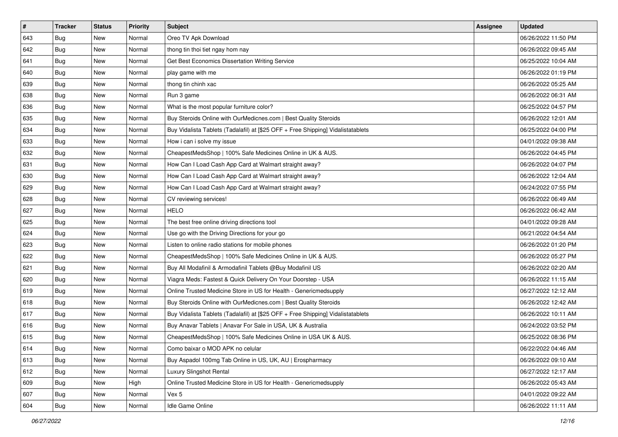| $\vert$ # | <b>Tracker</b> | <b>Status</b> | <b>Priority</b> | <b>Subject</b>                                                                   | <b>Assignee</b> | <b>Updated</b>      |
|-----------|----------------|---------------|-----------------|----------------------------------------------------------------------------------|-----------------|---------------------|
| 643       | Bug            | New           | Normal          | Oreo TV Apk Download                                                             |                 | 06/26/2022 11:50 PM |
| 642       | <b>Bug</b>     | New           | Normal          | thong tin thoi tiet ngay hom nay                                                 |                 | 06/26/2022 09:45 AM |
| 641       | <b>Bug</b>     | New           | Normal          | Get Best Economics Dissertation Writing Service                                  |                 | 06/25/2022 10:04 AM |
| 640       | <b>Bug</b>     | New           | Normal          | play game with me                                                                |                 | 06/26/2022 01:19 PM |
| 639       | Bug            | <b>New</b>    | Normal          | thong tin chinh xac                                                              |                 | 06/26/2022 05:25 AM |
| 638       | <b>Bug</b>     | New           | Normal          | Run 3 game                                                                       |                 | 06/26/2022 06:31 AM |
| 636       | <b>Bug</b>     | New           | Normal          | What is the most popular furniture color?                                        |                 | 06/25/2022 04:57 PM |
| 635       | <b>Bug</b>     | New           | Normal          | Buy Steroids Online with OurMedicnes.com   Best Quality Steroids                 |                 | 06/26/2022 12:01 AM |
| 634       | <b>Bug</b>     | New           | Normal          | Buy Vidalista Tablets (Tadalafil) at [\$25 OFF + Free Shipping] Vidalistatablets |                 | 06/25/2022 04:00 PM |
| 633       | Bug            | New           | Normal          | How i can i solve my issue                                                       |                 | 04/01/2022 09:38 AM |
| 632       | <b>Bug</b>     | New           | Normal          | CheapestMedsShop   100% Safe Medicines Online in UK & AUS.                       |                 | 06/26/2022 04:45 PM |
| 631       | Bug            | New           | Normal          | How Can I Load Cash App Card at Walmart straight away?                           |                 | 06/26/2022 04:07 PM |
| 630       | Bug            | New           | Normal          | How Can I Load Cash App Card at Walmart straight away?                           |                 | 06/26/2022 12:04 AM |
| 629       | <b>Bug</b>     | New           | Normal          | How Can I Load Cash App Card at Walmart straight away?                           |                 | 06/24/2022 07:55 PM |
| 628       | <b>Bug</b>     | New           | Normal          | CV reviewing services!                                                           |                 | 06/26/2022 06:49 AM |
| 627       | Bug            | New           | Normal          | HELO                                                                             |                 | 06/26/2022 06:42 AM |
| 625       | <b>Bug</b>     | New           | Normal          | The best free online driving directions tool                                     |                 | 04/01/2022 09:28 AM |
| 624       | Bug            | New           | Normal          | Use go with the Driving Directions for your go                                   |                 | 06/21/2022 04:54 AM |
| 623       | Bug            | New           | Normal          | Listen to online radio stations for mobile phones                                |                 | 06/26/2022 01:20 PM |
| 622       | Bug            | New           | Normal          | CheapestMedsShop   100% Safe Medicines Online in UK & AUS.                       |                 | 06/26/2022 05:27 PM |
| 621       | <b>Bug</b>     | New           | Normal          | Buy All Modafinil & Armodafinil Tablets @Buy Modafinil US                        |                 | 06/26/2022 02:20 AM |
| 620       | <b>Bug</b>     | New           | Normal          | Viagra Meds: Fastest & Quick Delivery On Your Doorstep - USA                     |                 | 06/26/2022 11:15 AM |
| 619       | Bug            | <b>New</b>    | Normal          | Online Trusted Medicine Store in US for Health - Genericmedsupply                |                 | 06/27/2022 12:12 AM |
| 618       | <b>Bug</b>     | New           | Normal          | Buy Steroids Online with OurMedicnes.com   Best Quality Steroids                 |                 | 06/26/2022 12:42 AM |
| 617       | <b>Bug</b>     | New           | Normal          | Buy Vidalista Tablets (Tadalafil) at [\$25 OFF + Free Shipping] Vidalistatablets |                 | 06/26/2022 10:11 AM |
| 616       | Bug            | New           | Normal          | Buy Anavar Tablets   Anavar For Sale in USA, UK & Australia                      |                 | 06/24/2022 03:52 PM |
| 615       | <b>Bug</b>     | New           | Normal          | CheapestMedsShop   100% Safe Medicines Online in USA UK & AUS.                   |                 | 06/25/2022 08:36 PM |
| 614       | <b>Bug</b>     | New           | Normal          | Como baixar o MOD APK no celular                                                 |                 | 06/22/2022 04:46 AM |
| 613       | <b>Bug</b>     | New           | Normal          | Buy Aspadol 100mg Tab Online in US, UK, AU   Erospharmacy                        |                 | 06/26/2022 09:10 AM |
| 612       | <b>Bug</b>     | New           | Normal          | Luxury Slingshot Rental                                                          |                 | 06/27/2022 12:17 AM |
| 609       | <b>Bug</b>     | New           | High            | Online Trusted Medicine Store in US for Health - Genericmedsupply                |                 | 06/26/2022 05:43 AM |
| 607       | <b>Bug</b>     | New           | Normal          | Vex 5                                                                            |                 | 04/01/2022 09:22 AM |
| 604       | <b>Bug</b>     | New           | Normal          | Idle Game Online                                                                 |                 | 06/26/2022 11:11 AM |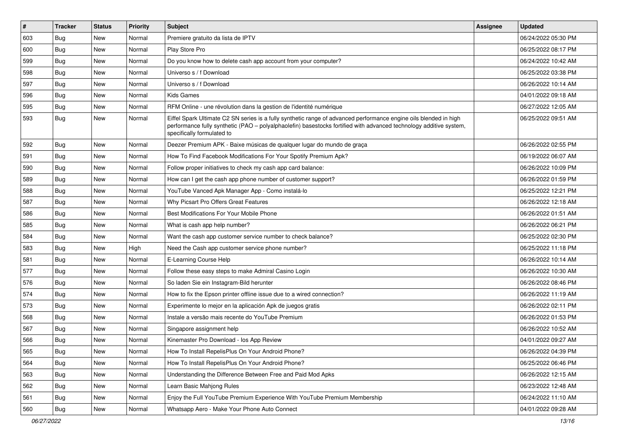| $\vert$ # | <b>Tracker</b> | <b>Status</b> | Priority | Subject                                                                                                                                                                                                                                                               | Assignee | <b>Updated</b>      |
|-----------|----------------|---------------|----------|-----------------------------------------------------------------------------------------------------------------------------------------------------------------------------------------------------------------------------------------------------------------------|----------|---------------------|
| 603       | <b>Bug</b>     | New           | Normal   | Premiere gratuito da lista de IPTV                                                                                                                                                                                                                                    |          | 06/24/2022 05:30 PM |
| 600       | Bug            | <b>New</b>    | Normal   | Play Store Pro                                                                                                                                                                                                                                                        |          | 06/25/2022 08:17 PM |
| 599       | Bug            | New           | Normal   | Do you know how to delete cash app account from your computer?                                                                                                                                                                                                        |          | 06/24/2022 10:42 AM |
| 598       | <b>Bug</b>     | <b>New</b>    | Normal   | Universo s / f Download                                                                                                                                                                                                                                               |          | 06/25/2022 03:38 PM |
| 597       | <b>Bug</b>     | <b>New</b>    | Normal   | Universo s / f Download                                                                                                                                                                                                                                               |          | 06/26/2022 10:14 AM |
| 596       | <b>Bug</b>     | <b>New</b>    | Normal   | <b>Kids Games</b>                                                                                                                                                                                                                                                     |          | 04/01/2022 09:18 AM |
| 595       | Bug            | New           | Normal   | RFM Online - une révolution dans la gestion de l'identité numérique                                                                                                                                                                                                   |          | 06/27/2022 12:05 AM |
| 593       | <b>Bug</b>     | New           | Normal   | Eiffel Spark Ultimate C2 SN series is a fully synthetic range of advanced performance engine oils blended in high<br>performance fully synthetic (PAO - polyalphaolefin) basestocks fortified with advanced technology additive system,<br>specifically formulated to |          | 06/25/2022 09:51 AM |
| 592       | Bug            | New           | Normal   | Deezer Premium APK - Baixe músicas de qualquer lugar do mundo de graça                                                                                                                                                                                                |          | 06/26/2022 02:55 PM |
| 591       | <b>Bug</b>     | <b>New</b>    | Normal   | How To Find Facebook Modifications For Your Spotify Premium Apk?                                                                                                                                                                                                      |          | 06/19/2022 06:07 AM |
| 590       | Bug            | <b>New</b>    | Normal   | Follow proper initiatives to check my cash app card balance:                                                                                                                                                                                                          |          | 06/26/2022 10:09 PM |
| 589       | <b>Bug</b>     | <b>New</b>    | Normal   | How can I get the cash app phone number of customer support?                                                                                                                                                                                                          |          | 06/26/2022 01:59 PM |
| 588       | Bug            | New           | Normal   | YouTube Vanced Apk Manager App - Como instalá-lo                                                                                                                                                                                                                      |          | 06/25/2022 12:21 PM |
| 587       | Bug            | <b>New</b>    | Normal   | Why Picsart Pro Offers Great Features                                                                                                                                                                                                                                 |          | 06/26/2022 12:18 AM |
| 586       | <b>Bug</b>     | New           | Normal   | Best Modifications For Your Mobile Phone                                                                                                                                                                                                                              |          | 06/26/2022 01:51 AM |
| 585       | Bug            | <b>New</b>    | Normal   | What is cash app help number?                                                                                                                                                                                                                                         |          | 06/26/2022 06:21 PM |
| 584       | <b>Bug</b>     | New           | Normal   | Want the cash app customer service number to check balance?                                                                                                                                                                                                           |          | 06/25/2022 02:30 PM |
| 583       | <b>Bug</b>     | New           | High     | Need the Cash app customer service phone number?                                                                                                                                                                                                                      |          | 06/25/2022 11:18 PM |
| 581       | Bug            | New           | Normal   | E-Learning Course Help                                                                                                                                                                                                                                                |          | 06/26/2022 10:14 AM |
| 577       | Bug            | New           | Normal   | Follow these easy steps to make Admiral Casino Login                                                                                                                                                                                                                  |          | 06/26/2022 10:30 AM |
| 576       | <b>Bug</b>     | <b>New</b>    | Normal   | So laden Sie ein Instagram-Bild herunter                                                                                                                                                                                                                              |          | 06/26/2022 08:46 PM |
| 574       | <b>Bug</b>     | New           | Normal   | How to fix the Epson printer offline issue due to a wired connection?                                                                                                                                                                                                 |          | 06/26/2022 11:19 AM |
| 573       | <b>Bug</b>     | <b>New</b>    | Normal   | Experimente lo mejor en la aplicación Apk de juegos gratis                                                                                                                                                                                                            |          | 06/26/2022 02:11 PM |
| 568       | Bug            | <b>New</b>    | Normal   | Instale a versão mais recente do YouTube Premium                                                                                                                                                                                                                      |          | 06/26/2022 01:53 PM |
| 567       | <b>Bug</b>     | New           | Normal   | Singapore assignment help                                                                                                                                                                                                                                             |          | 06/26/2022 10:52 AM |
| 566       | <b>Bug</b>     | <b>New</b>    | Normal   | Kinemaster Pro Download - los App Review                                                                                                                                                                                                                              |          | 04/01/2022 09:27 AM |
| 565       | Bug            | New           | Normal   | How To Install RepelisPlus On Your Android Phone?                                                                                                                                                                                                                     |          | 06/26/2022 04:39 PM |
| 564       | Bug            | New           | Normal   | How To Install RepelisPlus On Your Android Phone?                                                                                                                                                                                                                     |          | 06/25/2022 06:46 PM |
| 563       | <b>Bug</b>     | New           | Normal   | Understanding the Difference Between Free and Paid Mod Apks                                                                                                                                                                                                           |          | 06/26/2022 12:15 AM |
| 562       | <b>Bug</b>     | New           | Normal   | Learn Basic Mahjong Rules                                                                                                                                                                                                                                             |          | 06/23/2022 12:48 AM |
| 561       | Bug            | New           | Normal   | Enjoy the Full YouTube Premium Experience With YouTube Premium Membership                                                                                                                                                                                             |          | 06/24/2022 11:10 AM |
| 560       | <b>Bug</b>     | New           | Normal   | Whatsapp Aero - Make Your Phone Auto Connect                                                                                                                                                                                                                          |          | 04/01/2022 09:28 AM |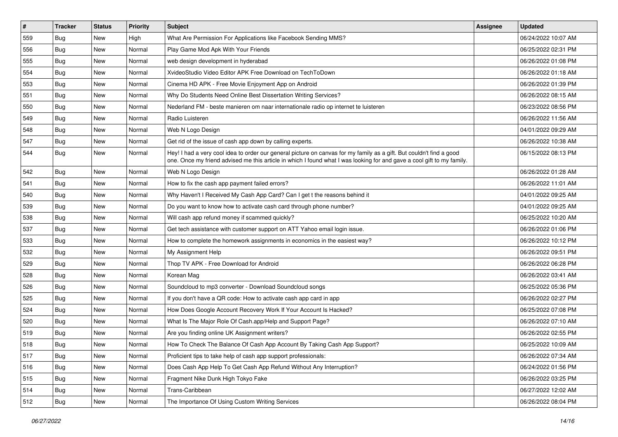| $\vert$ # | <b>Tracker</b> | <b>Status</b> | Priority | Subject                                                                                                                                                                                                                                        | <b>Assignee</b> | <b>Updated</b>      |
|-----------|----------------|---------------|----------|------------------------------------------------------------------------------------------------------------------------------------------------------------------------------------------------------------------------------------------------|-----------------|---------------------|
| 559       | <b>Bug</b>     | New           | High     | What Are Permission For Applications like Facebook Sending MMS?                                                                                                                                                                                |                 | 06/24/2022 10:07 AM |
| 556       | <b>Bug</b>     | New           | Normal   | Play Game Mod Apk With Your Friends                                                                                                                                                                                                            |                 | 06/25/2022 02:31 PM |
| 555       | Bug            | New           | Normal   | web design development in hyderabad                                                                                                                                                                                                            |                 | 06/26/2022 01:08 PM |
| 554       | <b>Bug</b>     | New           | Normal   | XvideoStudio Video Editor APK Free Download on TechToDown                                                                                                                                                                                      |                 | 06/26/2022 01:18 AM |
| 553       | Bug            | <b>New</b>    | Normal   | Cinema HD APK - Free Movie Enjoyment App on Android                                                                                                                                                                                            |                 | 06/26/2022 01:39 PM |
| 551       | Bug            | New           | Normal   | Why Do Students Need Online Best Dissertation Writing Services?                                                                                                                                                                                |                 | 06/26/2022 08:15 AM |
| 550       | Bug            | New           | Normal   | Nederland FM - beste manieren om naar internationale radio op internet te luisteren                                                                                                                                                            |                 | 06/23/2022 08:56 PM |
| 549       | <b>Bug</b>     | New           | Normal   | Radio Luisteren                                                                                                                                                                                                                                |                 | 06/26/2022 11:56 AM |
| 548       | <b>Bug</b>     | New           | Normal   | Web N Logo Design                                                                                                                                                                                                                              |                 | 04/01/2022 09:29 AM |
| 547       | Bug            | <b>New</b>    | Normal   | Get rid of the issue of cash app down by calling experts.                                                                                                                                                                                      |                 | 06/26/2022 10:38 AM |
| 544       | <b>Bug</b>     | New           | Normal   | Hey! I had a very cool idea to order our general picture on canvas for my family as a gift. But couldn't find a good<br>one. Once my friend advised me this article in which I found what I was looking for and gave a cool gift to my family. |                 | 06/15/2022 08:13 PM |
| 542       | Bug            | New           | Normal   | Web N Logo Design                                                                                                                                                                                                                              |                 | 06/26/2022 01:28 AM |
| 541       | Bug            | New           | Normal   | How to fix the cash app payment failed errors?                                                                                                                                                                                                 |                 | 06/26/2022 11:01 AM |
| 540       | <b>Bug</b>     | New           | Normal   | Why Haven't I Received My Cash App Card? Can I get t the reasons behind it                                                                                                                                                                     |                 | 04/01/2022 09:25 AM |
| 539       | <b>Bug</b>     | New           | Normal   | Do you want to know how to activate cash card through phone number?                                                                                                                                                                            |                 | 04/01/2022 09:25 AM |
| 538       | <b>Bug</b>     | New           | Normal   | Will cash app refund money if scammed quickly?                                                                                                                                                                                                 |                 | 06/25/2022 10:20 AM |
| 537       | Bug            | <b>New</b>    | Normal   | Get tech assistance with customer support on ATT Yahoo email login issue.                                                                                                                                                                      |                 | 06/26/2022 01:06 PM |
| 533       | <b>Bug</b>     | New           | Normal   | How to complete the homework assignments in economics in the easiest way?                                                                                                                                                                      |                 | 06/26/2022 10:12 PM |
| 532       | Bug            | New           | Normal   | My Assignment Help                                                                                                                                                                                                                             |                 | 06/26/2022 09:51 PM |
| 529       | Bug            | New           | Normal   | Thop TV APK - Free Download for Android                                                                                                                                                                                                        |                 | 06/26/2022 06:28 PM |
| 528       | <b>Bug</b>     | New           | Normal   | Korean Mag                                                                                                                                                                                                                                     |                 | 06/26/2022 03:41 AM |
| 526       | Bug            | New           | Normal   | Soundcloud to mp3 converter - Download Soundcloud songs                                                                                                                                                                                        |                 | 06/25/2022 05:36 PM |
| 525       | <b>Bug</b>     | New           | Normal   | If you don't have a QR code: How to activate cash app card in app                                                                                                                                                                              |                 | 06/26/2022 02:27 PM |
| 524       | <b>Bug</b>     | New           | Normal   | How Does Google Account Recovery Work If Your Account Is Hacked?                                                                                                                                                                               |                 | 06/25/2022 07:08 PM |
| 520       | <b>Bug</b>     | New           | Normal   | What Is The Major Role Of Cash.app/Help and Support Page?                                                                                                                                                                                      |                 | 06/26/2022 07:10 AM |
| 519       | Bug            | New           | Normal   | Are you finding online UK Assignment writers?                                                                                                                                                                                                  |                 | 06/26/2022 02:55 PM |
| 518       | <b>Bug</b>     | New           | Normal   | How To Check The Balance Of Cash App Account By Taking Cash App Support?                                                                                                                                                                       |                 | 06/25/2022 10:09 AM |
| 517       | Bug            | New           | Normal   | Proficient tips to take help of cash app support professionals:                                                                                                                                                                                |                 | 06/26/2022 07:34 AM |
| 516       | <b>Bug</b>     | New           | Normal   | Does Cash App Help To Get Cash App Refund Without Any Interruption?                                                                                                                                                                            |                 | 06/24/2022 01:56 PM |
| 515       | Bug            | New           | Normal   | Fragment Nike Dunk High Tokyo Fake                                                                                                                                                                                                             |                 | 06/26/2022 03:25 PM |
| 514       | <b>Bug</b>     | New           | Normal   | Trans-Caribbean                                                                                                                                                                                                                                |                 | 06/27/2022 12:02 AM |
| 512       | Bug            | New           | Normal   | The Importance Of Using Custom Writing Services                                                                                                                                                                                                |                 | 06/26/2022 08:04 PM |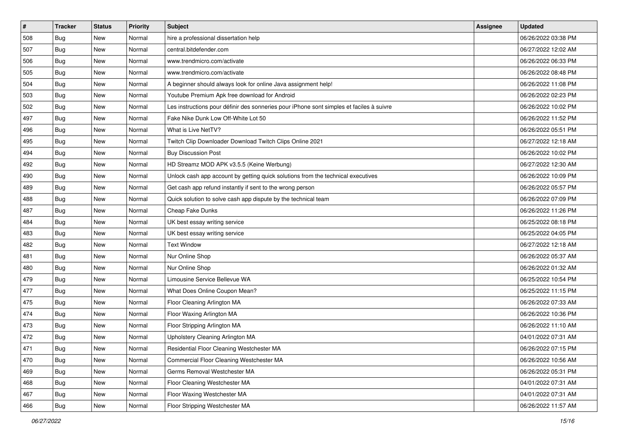| $\sharp$ | <b>Tracker</b> | <b>Status</b> | <b>Priority</b> | <b>Subject</b>                                                                           | <b>Assignee</b> | <b>Updated</b>      |
|----------|----------------|---------------|-----------------|------------------------------------------------------------------------------------------|-----------------|---------------------|
| 508      | <b>Bug</b>     | New           | Normal          | hire a professional dissertation help                                                    |                 | 06/26/2022 03:38 PM |
| 507      | <b>Bug</b>     | New           | Normal          | central.bitdefender.com                                                                  |                 | 06/27/2022 12:02 AM |
| 506      | Bug            | New           | Normal          | www.trendmicro.com/activate                                                              |                 | 06/26/2022 06:33 PM |
| 505      | <b>Bug</b>     | <b>New</b>    | Normal          | www.trendmicro.com/activate                                                              |                 | 06/26/2022 08:48 PM |
| 504      | Bug            | New           | Normal          | A beginner should always look for online Java assignment help!                           |                 | 06/26/2022 11:08 PM |
| 503      | <b>Bug</b>     | New           | Normal          | Youtube Premium Apk free download for Android                                            |                 | 06/26/2022 02:23 PM |
| 502      | Bug            | New           | Normal          | Les instructions pour définir des sonneries pour iPhone sont simples et faciles à suivre |                 | 06/26/2022 10:02 PM |
| 497      | <b>Bug</b>     | New           | Normal          | Fake Nike Dunk Low Off-White Lot 50                                                      |                 | 06/26/2022 11:52 PM |
| 496      | Bug            | New           | Normal          | What is Live NetTV?                                                                      |                 | 06/26/2022 05:51 PM |
| 495      | Bug            | New           | Normal          | Twitch Clip Downloader Download Twitch Clips Online 2021                                 |                 | 06/27/2022 12:18 AM |
| 494      | <b>Bug</b>     | New           | Normal          | <b>Buy Discussion Post</b>                                                               |                 | 06/26/2022 10:02 PM |
| 492      | Bug            | New           | Normal          | HD Streamz MOD APK v3.5.5 (Keine Werbung)                                                |                 | 06/27/2022 12:30 AM |
| 490      | Bug            | New           | Normal          | Unlock cash app account by getting quick solutions from the technical executives         |                 | 06/26/2022 10:09 PM |
| 489      | <b>Bug</b>     | New           | Normal          | Get cash app refund instantly if sent to the wrong person                                |                 | 06/26/2022 05:57 PM |
| 488      | <b>Bug</b>     | <b>New</b>    | Normal          | Quick solution to solve cash app dispute by the technical team                           |                 | 06/26/2022 07:09 PM |
| 487      | Bug            | New           | Normal          | Cheap Fake Dunks                                                                         |                 | 06/26/2022 11:26 PM |
| 484      | <b>Bug</b>     | <b>New</b>    | Normal          | UK best essay writing service                                                            |                 | 06/25/2022 08:18 PM |
| 483      | Bug            | New           | Normal          | UK best essay writing service                                                            |                 | 06/25/2022 04:05 PM |
| 482      | <b>Bug</b>     | New           | Normal          | <b>Text Window</b>                                                                       |                 | 06/27/2022 12:18 AM |
| 481      | Bug            | New           | Normal          | Nur Online Shop                                                                          |                 | 06/26/2022 05:37 AM |
| 480      | <b>Bug</b>     | New           | Normal          | Nur Online Shop                                                                          |                 | 06/26/2022 01:32 AM |
| 479      | Bug            | New           | Normal          | Limousine Service Bellevue WA                                                            |                 | 06/25/2022 10:54 PM |
| 477      | Bug            | New           | Normal          | What Does Online Coupon Mean?                                                            |                 | 06/25/2022 11:15 PM |
| 475      | <b>Bug</b>     | New           | Normal          | Floor Cleaning Arlington MA                                                              |                 | 06/26/2022 07:33 AM |
| 474      | Bug            | New           | Normal          | Floor Waxing Arlington MA                                                                |                 | 06/26/2022 10:36 PM |
| 473      | Bug            | New           | Normal          | Floor Stripping Arlington MA                                                             |                 | 06/26/2022 11:10 AM |
| 472      | <b>Bug</b>     | New           | Normal          | Upholstery Cleaning Arlington MA                                                         |                 | 04/01/2022 07:31 AM |
| 471      | <b>Bug</b>     | New           | Normal          | Residential Floor Cleaning Westchester MA                                                |                 | 06/26/2022 07:15 PM |
| 470      | <b>Bug</b>     | New           | Normal          | Commercial Floor Cleaning Westchester MA                                                 |                 | 06/26/2022 10:56 AM |
| 469      | <b>Bug</b>     | New           | Normal          | Germs Removal Westchester MA                                                             |                 | 06/26/2022 05:31 PM |
| 468      | <b>Bug</b>     | New           | Normal          | Floor Cleaning Westchester MA                                                            |                 | 04/01/2022 07:31 AM |
| 467      | <b>Bug</b>     | New           | Normal          | Floor Waxing Westchester MA                                                              |                 | 04/01/2022 07:31 AM |
| 466      | <b>Bug</b>     | New           | Normal          | Floor Stripping Westchester MA                                                           |                 | 06/26/2022 11:57 AM |